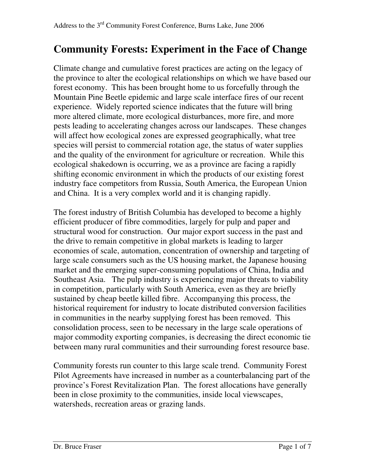# **Community Forests: Experiment in the Face of Change**

Climate change and cumulative forest practices are acting on the legacy of the province to alter the ecological relationships on which we have based our forest economy. This has been brought home to us forcefully through the Mountain Pine Beetle epidemic and large scale interface fires of our recent experience. Widely reported science indicates that the future will bring more altered climate, more ecological disturbances, more fire, and more pests leading to accelerating changes across our landscapes. These changes will affect how ecological zones are expressed geographically, what tree species will persist to commercial rotation age, the status of water supplies and the quality of the environment for agriculture or recreation. While this ecological shakedown is occurring, we as a province are facing a rapidly shifting economic environment in which the products of our existing forest industry face competitors from Russia, South America, the European Union and China. It is a very complex world and it is changing rapidly.

The forest industry of British Columbia has developed to become a highly efficient producer of fibre commodities, largely for pulp and paper and structural wood for construction. Our major export success in the past and the drive to remain competitive in global markets is leading to larger economies of scale, automation, concentration of ownership and targeting of large scale consumers such as the US housing market, the Japanese housing market and the emerging super-consuming populations of China, India and Southeast Asia. The pulp industry is experiencing major threats to viability in competition, particularly with South America, even as they are briefly sustained by cheap beetle killed fibre. Accompanying this process, the historical requirement for industry to locate distributed conversion facilities in communities in the nearby supplying forest has been removed. This consolidation process, seen to be necessary in the large scale operations of major commodity exporting companies, is decreasing the direct economic tie between many rural communities and their surrounding forest resource base.

Community forests run counter to this large scale trend. Community Forest Pilot Agreements have increased in number as a counterbalancing part of the province's Forest Revitalization Plan. The forest allocations have generally been in close proximity to the communities, inside local viewscapes, watersheds, recreation areas or grazing lands.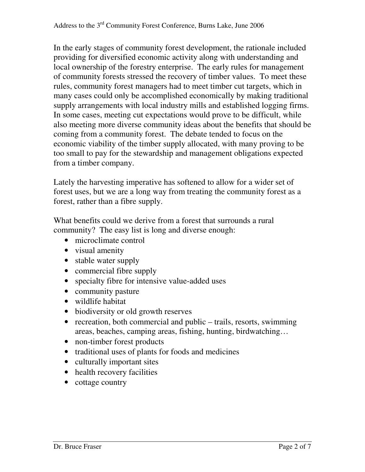In the early stages of community forest development, the rationale included providing for diversified economic activity along with understanding and local ownership of the forestry enterprise. The early rules for management of community forests stressed the recovery of timber values. To meet these rules, community forest managers had to meet timber cut targets, which in many cases could only be accomplished economically by making traditional supply arrangements with local industry mills and established logging firms. In some cases, meeting cut expectations would prove to be difficult, while also meeting more diverse community ideas about the benefits that should be coming from a community forest. The debate tended to focus on the economic viability of the timber supply allocated, with many proving to be too small to pay for the stewardship and management obligations expected from a timber company.

Lately the harvesting imperative has softened to allow for a wider set of forest uses, but we are a long way from treating the community forest as a forest, rather than a fibre supply.

What benefits could we derive from a forest that surrounds a rural community? The easy list is long and diverse enough:

- microclimate control
- visual amenity
- stable water supply
- commercial fibre supply
- specialty fibre for intensive value-added uses
- community pasture
- wildlife habitat
- biodiversity or old growth reserves
- recreation, both commercial and public trails, resorts, swimming areas, beaches, camping areas, fishing, hunting, birdwatching…
- non-timber forest products
- traditional uses of plants for foods and medicines
- culturally important sites
- health recovery facilities
- cottage country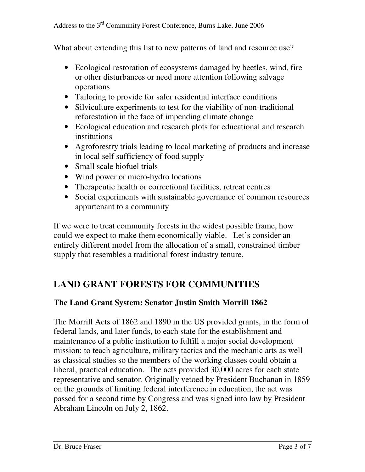What about extending this list to new patterns of land and resource use?

- Ecological restoration of ecosystems damaged by beetles, wind, fire or other disturbances or need more attention following salvage operations
- Tailoring to provide for safer residential interface conditions
- Silviculture experiments to test for the viability of non-traditional reforestation in the face of impending climate change
- Ecological education and research plots for educational and research institutions
- Agroforestry trials leading to local marketing of products and increase in local self sufficiency of food supply
- Small scale biofuel trials
- Wind power or micro-hydro locations
- Therapeutic health or correctional facilities, retreat centres
- Social experiments with sustainable governance of common resources appurtenant to a community

If we were to treat community forests in the widest possible frame, how could we expect to make them economically viable. Let's consider an entirely different model from the allocation of a small, constrained timber supply that resembles a traditional forest industry tenure.

### **LAND GRANT FORESTS FOR COMMUNITIES**

#### **The Land Grant System: Senator Justin Smith Morrill 1862**

The Morrill Acts of 1862 and 1890 in the US provided grants, in the form of federal lands, and later funds, to each state for the establishment and maintenance of a public institution to fulfill a major social development mission: to teach agriculture, military tactics and the mechanic arts as well as classical studies so the members of the working classes could obtain a liberal, practical education. The acts provided 30,000 acres for each state representative and senator. Originally vetoed by President Buchanan in 1859 on the grounds of limiting federal interference in education, the act was passed for a second time by Congress and was signed into law by President Abraham Lincoln on July 2, 1862.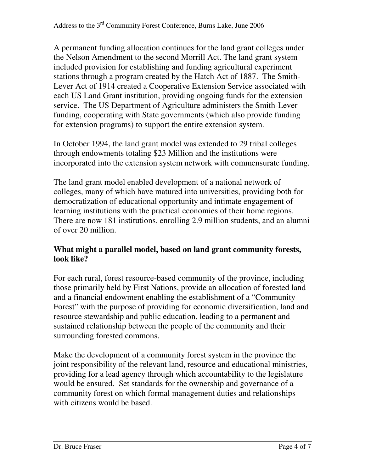A permanent funding allocation continues for the land grant colleges under the Nelson Amendment to the second Morrill Act. The land grant system included provision for establishing and funding agricultural experiment stations through a program created by the Hatch Act of 1887. The Smith-Lever Act of 1914 created a Cooperative Extension Service associated with each US Land Grant institution, providing ongoing funds for the extension service. The US Department of Agriculture administers the Smith-Lever funding, cooperating with State governments (which also provide funding for extension programs) to support the entire extension system.

In October 1994, the land grant model was extended to 29 tribal colleges through endowments totaling \$23 Million and the institutions were incorporated into the extension system network with commensurate funding.

The land grant model enabled development of a national network of colleges, many of which have matured into universities, providing both for democratization of educational opportunity and intimate engagement of learning institutions with the practical economies of their home regions. There are now 181 institutions, enrolling 2.9 million students, and an alumni of over 20 million.

#### **What might a parallel model, based on land grant community forests, look like?**

For each rural, forest resource-based community of the province, including those primarily held by First Nations, provide an allocation of forested land and a financial endowment enabling the establishment of a "Community Forest" with the purpose of providing for economic diversification, land and resource stewardship and public education, leading to a permanent and sustained relationship between the people of the community and their surrounding forested commons.

Make the development of a community forest system in the province the joint responsibility of the relevant land, resource and educational ministries, providing for a lead agency through which accountability to the legislature would be ensured. Set standards for the ownership and governance of a community forest on which formal management duties and relationships with citizens would be based.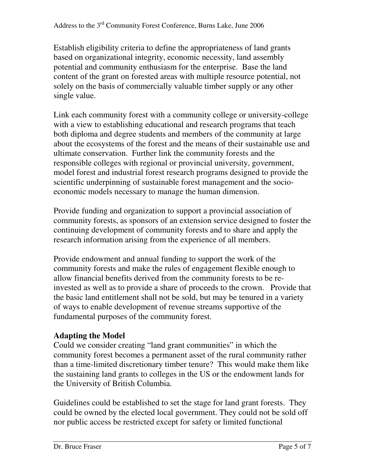Establish eligibility criteria to define the appropriateness of land grants based on organizational integrity, economic necessity, land assembly potential and community enthusiasm for the enterprise. Base the land content of the grant on forested areas with multiple resource potential, not solely on the basis of commercially valuable timber supply or any other single value.

Link each community forest with a community college or university-college with a view to establishing educational and research programs that teach both diploma and degree students and members of the community at large about the ecosystems of the forest and the means of their sustainable use and ultimate conservation. Further link the community forests and the responsible colleges with regional or provincial university, government, model forest and industrial forest research programs designed to provide the scientific underpinning of sustainable forest management and the socioeconomic models necessary to manage the human dimension.

Provide funding and organization to support a provincial association of community forests, as sponsors of an extension service designed to foster the continuing development of community forests and to share and apply the research information arising from the experience of all members.

Provide endowment and annual funding to support the work of the community forests and make the rules of engagement flexible enough to allow financial benefits derived from the community forests to be reinvested as well as to provide a share of proceeds to the crown. Provide that the basic land entitlement shall not be sold, but may be tenured in a variety of ways to enable development of revenue streams supportive of the fundamental purposes of the community forest.

### **Adapting the Model**

Could we consider creating "land grant communities" in which the community forest becomes a permanent asset of the rural community rather than a time-limited discretionary timber tenure? This would make them like the sustaining land grants to colleges in the US or the endowment lands for the University of British Columbia.

Guidelines could be established to set the stage for land grant forests. They could be owned by the elected local government. They could not be sold off nor public access be restricted except for safety or limited functional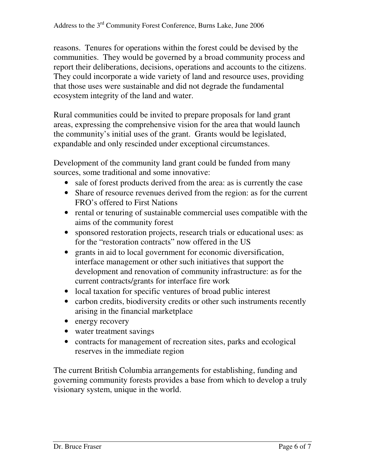reasons. Tenures for operations within the forest could be devised by the communities. They would be governed by a broad community process and report their deliberations, decisions, operations and accounts to the citizens. They could incorporate a wide variety of land and resource uses, providing that those uses were sustainable and did not degrade the fundamental ecosystem integrity of the land and water.

Rural communities could be invited to prepare proposals for land grant areas, expressing the comprehensive vision for the area that would launch the community's initial uses of the grant. Grants would be legislated, expandable and only rescinded under exceptional circumstances.

Development of the community land grant could be funded from many sources, some traditional and some innovative:

- sale of forest products derived from the area: as is currently the case
- Share of resource revenues derived from the region: as for the current FRO's offered to First Nations
- rental or tenuring of sustainable commercial uses compatible with the aims of the community forest
- sponsored restoration projects, research trials or educational uses: as for the "restoration contracts" now offered in the US
- grants in aid to local government for economic diversification, interface management or other such initiatives that support the development and renovation of community infrastructure: as for the current contracts/grants for interface fire work
- local taxation for specific ventures of broad public interest
- carbon credits, biodiversity credits or other such instruments recently arising in the financial marketplace
- energy recovery
- water treatment savings
- contracts for management of recreation sites, parks and ecological reserves in the immediate region

The current British Columbia arrangements for establishing, funding and governing community forests provides a base from which to develop a truly visionary system, unique in the world.